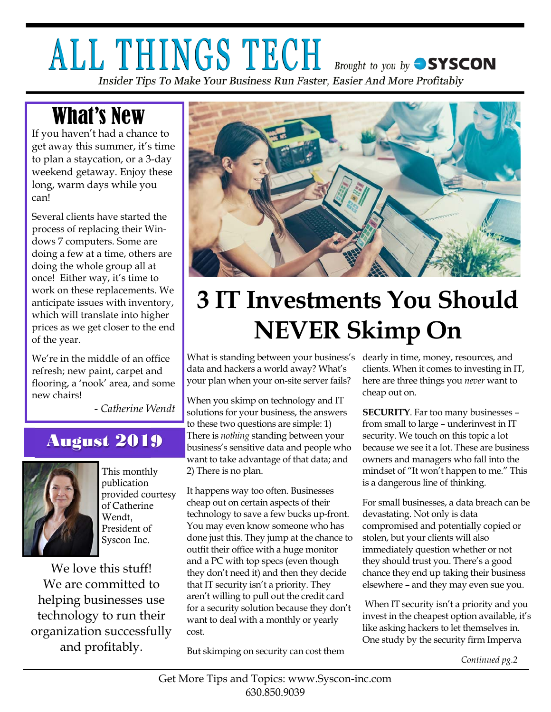# ALL THINGS TECH **Brought to you by SYSCON** Insider Tips To Make Your Business Run Faster, Easier And More Profitably

# What's New

If you haven't had a chance to get away this summer, it's time to plan a staycation, or a 3-day weekend getaway. Enjoy these long, warm days while you can!

Several clients have started the process of replacing their Windows 7 computers. Some are doing a few at a time, others are doing the whole group all at once! Either way, it's time to work on these replacements. We anticipate issues with inventory, which will translate into higher prices as we get closer to the end of the year.

We're in the middle of an office refresh; new paint, carpet and flooring, a 'nook' area, and some new chairs!

- *Catherine Wendt* 

# August 2019



This monthly publication provided courtesy of Catherine Wendt, President of Syscon Inc.

We love this stuff! We are committed to helping businesses use technology to run their organization successfully and profitably.



# **3 IT Investments You Should NEVER Skimp On**

What is standing between your business's dearly in time, money, resources, and data and hackers a world away? What's your plan when your on-site server fails?

When you skimp on technology and IT solutions for your business, the answers to these two questions are simple: 1) There is *nothing* standing between your business's sensitive data and people who want to take advantage of that data; and 2) There is no plan.

It happens way too often. Businesses cheap out on certain aspects of their technology to save a few bucks up-front. You may even know someone who has done just this. They jump at the chance to outfit their office with a huge monitor and a PC with top specs (even though they don't need it) and then they decide that IT security isn't a priority. They aren't willing to pull out the credit card for a security solution because they don't want to deal with a monthly or yearly cost.

But skimping on security can cost them

clients. When it comes to investing in IT, here are three things you *never* want to cheap out on.

**SECURITY**. Far too many businesses – from small to large – underinvest in IT security. We touch on this topic a lot because we see it a lot. These are business owners and managers who fall into the mindset of "It won't happen to me." This is a dangerous line of thinking.

For small businesses, a data breach can be devastating. Not only is data compromised and potentially copied or stolen, but your clients will also immediately question whether or not they should trust you. There's a good chance they end up taking their business elsewhere – and they may even sue you.

 When IT security isn't a priority and you invest in the cheapest option available, it's like asking hackers to let themselves in. One study by the security firm Imperva

*Continued pg.2*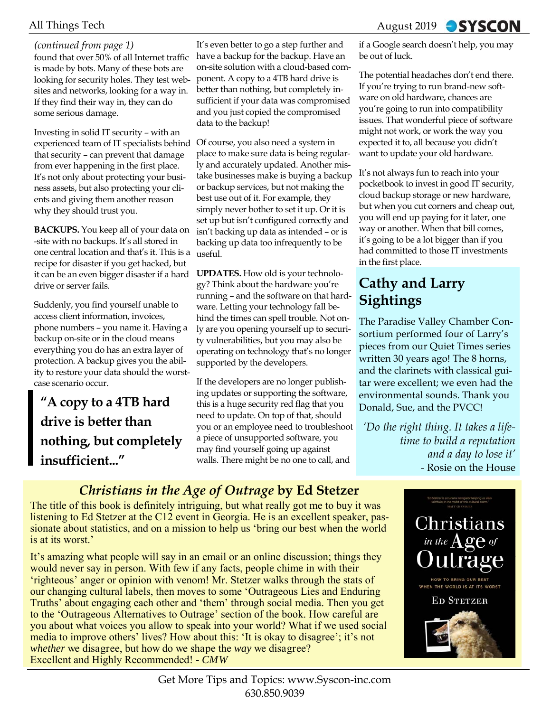#### *(continued from page 1)*

found that over 50% of all Internet traffic is made by bots. Many of these bots are looking for security holes. They test websites and networks, looking for a way in. If they find their way in, they can do some serious damage.

Investing in solid IT security – with an experienced team of IT specialists behind that security – can prevent that damage from ever happening in the first place. It's not only about protecting your business assets, but also protecting your clients and giving them another reason why they should trust you.

**BACKUPS.** You keep all of your data on -site with no backups. It's all stored in one central location and that's it. This is a recipe for disaster if you get hacked, but it can be an even bigger disaster if a hard drive or server fails.

Suddenly, you find yourself unable to access client information, invoices, phone numbers – you name it. Having a backup on-site or in the cloud means everything you do has an extra layer of protection. A backup gives you the ability to restore your data should the worstcase scenario occur.

**"A copy to a 4TB hard drive is better than nothing, but completely insufficient..."** 

It's even better to go a step further and have a backup for the backup. Have an on-site solution with a cloud-based component. A copy to a 4TB hard drive is better than nothing, but completely insufficient if your data was compromised and you just copied the compromised data to the backup!

Of course, you also need a system in place to make sure data is being regularly and accurately updated. Another mistake businesses make is buying a backup or backup services, but not making the best use out of it. For example, they simply never bother to set it up. Or it is set up but isn't configured correctly and isn't backing up data as intended – or is backing up data too infrequently to be useful.

**UPDATES.** How old is your technology? Think about the hardware you're running – and the software on that hardware. Letting your technology fall behind the times can spell trouble. Not only are you opening yourself up to security vulnerabilities, but you may also be operating on technology that's no longer supported by the developers.

If the developers are no longer publishing updates or supporting the software, this is a huge security red flag that you need to update. On top of that, should you or an employee need to troubleshoot a piece of unsupported software, you may find yourself going up against walls. There might be no one to call, and

### All Things Tech **August 2019** • August 2019 • **SYSCON**

if a Google search doesn't help, you may be out of luck.

The potential headaches don't end there. If you're trying to run brand-new software on old hardware, chances are you're going to run into compatibility issues. That wonderful piece of software might not work, or work the way you expected it to, all because you didn't want to update your old hardware.

It's not always fun to reach into your pocketbook to invest in good IT security, cloud backup storage or new hardware, but when you cut corners and cheap out, you will end up paying for it later, one way or another. When that bill comes, it's going to be a lot bigger than if you had committed to those IT investments in the first place.

## **Cathy and Larry Sightings**

The Paradise Valley Chamber Consortium performed four of Larry's pieces from our Quiet Times series written 30 years ago! The 8 horns, and the clarinets with classical guitar were excellent; we even had the environmental sounds. Thank you Donald, Sue, and the PVCC!

*'Do the right thing. It takes a lifetime to build a reputation and a day to lose it' -* Rosie on the House

### *Christians in the Age of Outrage* **by Ed Stetzer**

The title of this book is definitely intriguing, but what really got me to buy it was listening to Ed Stetzer at the C12 event in Georgia. He is an excellent speaker, passionate about statistics, and on a mission to help us 'bring our best when the world is at its worst.'

It's amazing what people will say in an email or an online discussion; things they would never say in person. With few if any facts, people chime in with their 'righteous' anger or opinion with venom! Mr. Stetzer walks through the stats of our changing cultural labels, then moves to some 'Outrageous Lies and Enduring Truths' about engaging each other and 'them' through social media. Then you get to the 'Outrageous Alternatives to Outrage' section of the book. How careful are you about what voices you allow to speak into your world? What if we used social media to improve others' lives? How about this: 'It is okay to disagree'; it's not *whether* we disagree, but how do we shape the *way* we disagree? Excellent and Highly Recommended! - *CMW*

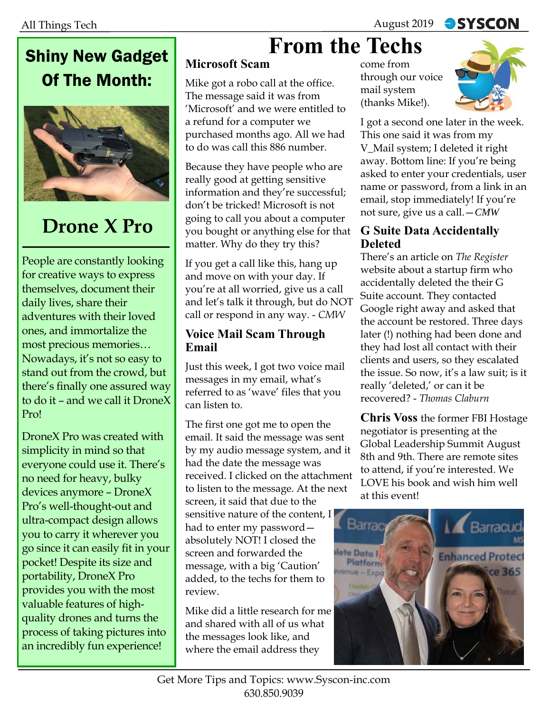# Shiny New Gadget Of The Month:



# **Drone X Pro**

People are constantly looking for creative ways to express themselves, document their daily lives, share their adventures with their loved ones, and immortalize the most precious memories… Nowadays, it's not so easy to stand out from the crowd, but there's finally one assured way to do it – and we call it DroneX Pro!

DroneX Pro was created with simplicity in mind so that everyone could use it. There's no need for heavy, bulky devices anymore – DroneX Pro's well-thought-out and ultra-compact design allows you to carry it wherever you go since it can easily fit in your pocket! Despite its size and portability, DroneX Pro provides you with the most valuable features of highquality drones and turns the process of taking pictures into an incredibly fun experience!

# **From the Techs**

### **Microsoft Scam**

Mike got a robo call at the office. The message said it was from 'Microsoft' and we were entitled to a refund for a computer we purchased months ago. All we had to do was call this 886 number.

Because they have people who are really good at getting sensitive information and they're successful; don't be tricked! Microsoft is not going to call you about a computer you bought or anything else for that matter. Why do they try this?

If you get a call like this, hang up and move on with your day. If you're at all worried, give us a call and let's talk it through, but do NOT call or respond in any way. - *CMW* 

#### **Voice Mail Scam Through Email**

Just this week, I got two voice mail messages in my email, what's referred to as 'wave' files that you can listen to.

The first one got me to open the email. It said the message was sent by my audio message system, and it had the date the message was received. I clicked on the attachment to listen to the message. At the next screen, it said that due to the sensitive nature of the content, I had to enter my password absolutely NOT! I closed the screen and forwarded the message, with a big 'Caution' added, to the techs for them to review.

Mike did a little research for me and shared with all of us what the messages look like, and where the email address they

come from through our voice mail system (thanks Mike!).



I got a second one later in the week. This one said it was from my V\_Mail system; I deleted it right away. Bottom line: If you're being asked to enter your credentials, user name or password, from a link in an email, stop immediately! If you're not sure, give us a call.—*CMW* 

#### **G Suite Data Accidentally Deleted**

There's an article on *The Register*  website about a startup firm who accidentally deleted the their G Suite account. They contacted Google right away and asked that the account be restored. Three days later (!) nothing had been done and they had lost all contact with their clients and users, so they escalated the issue. So now, it's a law suit; is it really 'deleted,' or can it be recovered? - *Thomas Claburn*

**Chris Voss** the former FBI Hostage negotiator is presenting at the Global Leadership Summit August 8th and 9th. There are remote sites to attend, if you're interested. We LOVE his book and wish him well at this event!